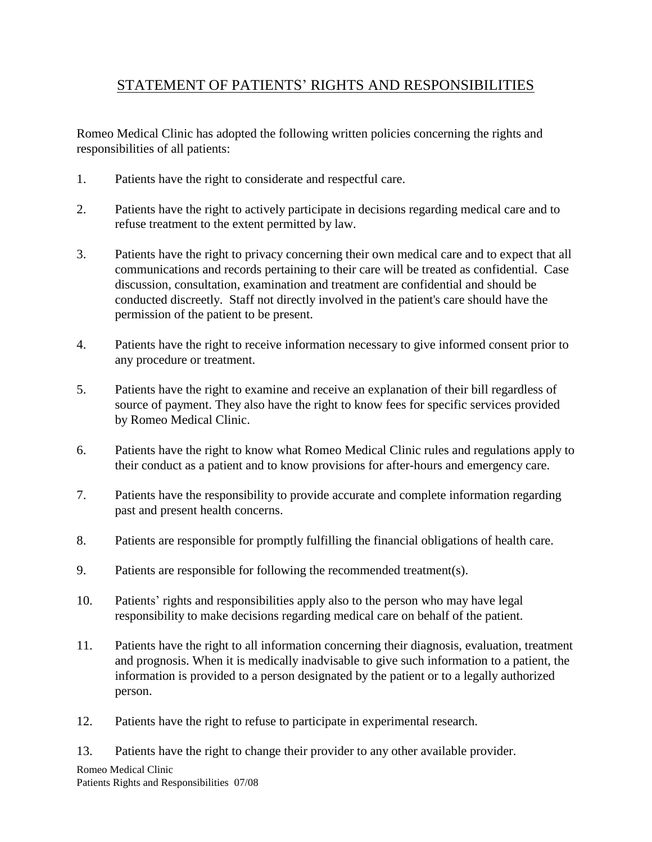## STATEMENT OF PATIENTS' RIGHTS AND RESPONSIBILITIES

Romeo Medical Clinic has adopted the following written policies concerning the rights and responsibilities of all patients:

- 1. Patients have the right to considerate and respectful care.
- 2. Patients have the right to actively participate in decisions regarding medical care and to refuse treatment to the extent permitted by law.
- 3. Patients have the right to privacy concerning their own medical care and to expect that all communications and records pertaining to their care will be treated as confidential. Case discussion, consultation, examination and treatment are confidential and should be conducted discreetly. Staff not directly involved in the patient's care should have the permission of the patient to be present.
- 4. Patients have the right to receive information necessary to give informed consent prior to any procedure or treatment.
- 5. Patients have the right to examine and receive an explanation of their bill regardless of source of payment. They also have the right to know fees for specific services provided by Romeo Medical Clinic.
- 6. Patients have the right to know what Romeo Medical Clinic rules and regulations apply to their conduct as a patient and to know provisions for after-hours and emergency care.
- 7. Patients have the responsibility to provide accurate and complete information regarding past and present health concerns.
- 8. Patients are responsible for promptly fulfilling the financial obligations of health care.
- 9. Patients are responsible for following the recommended treatment(s).
- 10. Patients' rights and responsibilities apply also to the person who may have legal responsibility to make decisions regarding medical care on behalf of the patient.
- 11. Patients have the right to all information concerning their diagnosis, evaluation, treatment and prognosis. When it is medically inadvisable to give such information to a patient, the information is provided to a person designated by the patient or to a legally authorized person.
- 12. Patients have the right to refuse to participate in experimental research.
- 13. Patients have the right to change their provider to any other available provider.